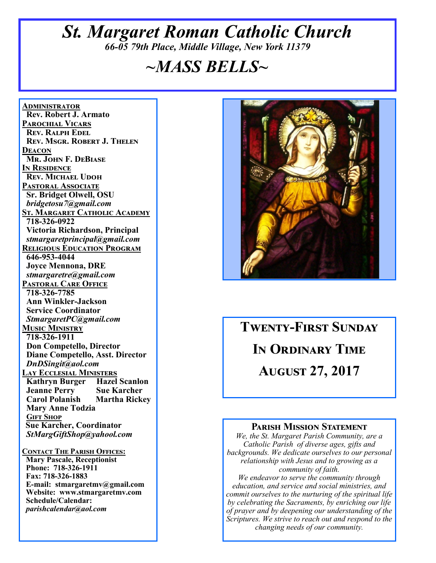## *St. Margaret Roman Catholic Church 66-05 79th Place, Middle Village, New York 11379*

# *~MASS BELLS~*

**<u>ADMINISTRATOR</u> Rev. Robert J. Armato PAROCHIAL VICARS REV. RALPH EDEL REV. MSGR. ROBERT J. THELEN DEACON Mr. John F. DeBiase I**N RESIDENCE **REV. MICHAEL UDOH PASTORAL ASSOCIATE Sr. Bridget Olwell, OSU**   *bridgetosu7@gmail.com*  <u>St. Margaret Catholic Academy</u>  **718-326-0922 Victoria Richardson, Principal**   *stmargaretprincipal@gmail.com*  **RELIGIOUS EDUCATION PROGRAM 646-953-4044 Joyce Mennona, DRE** *stmargaretre@gmail.com*  **PASTORAL CARE OFFICE 718-326-7785 Ann Winkler-Jackson Service Coordinator** *StmargaretPC@gmail.com*  **MUSIC MINISTRY 718-326-1911 Don Competello, Director Diane Competello, Asst. Director** *DnDSingit@aol.com*  **LAY ECCLESIAL MINISTERS**<br>**Kathryn Burger** Hazel Scanlon **Kathryn Burger Jeanne Perry Sue Karcher Martha Rickey Mary Anne Todzia GIFT SHOP Sue Karcher, Coordinator** *StMargGiftShop@yahool.com* 

**CONTACT THE PARISH OFFICES: Mary Pascale, Receptionist Phone: 718-326-1911 Fax: 718-326-1883 E-mail: stmargaretmv@gmail.com Website: www.stmargaretmv.com Schedule/Calendar:** *parishcalendar@aol.com* 



**TWENTY-FIRST SUNDAY IN ORDINARY TIME AUGUST 27, 2017** 

#### **PARISH MISSION STATEMENT**

*We, the St. Margaret Parish Community, are a Catholic Parish of diverse ages, gifts and backgrounds. We dedicate ourselves to our personal relationship with Jesus and to growing as a community of faith. We endeavor to serve the community through education, and service and social ministries, and* 

*commit ourselves to the nurturing of the spiritual life by celebrating the Sacraments, by enriching our life of prayer and by deepening our understanding of the Scriptures. We strive to reach out and respond to the changing needs of our community.*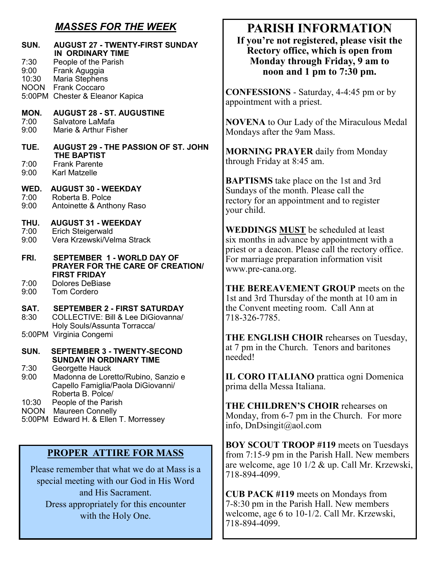## *MASSES FOR THE WEEK*

| SUN.<br>7:30<br>9:00<br>10:30                | <b>AUGUST 27 - TWENTY-FIRST SUNDAY</b><br><b>IN ORDINARY TIME</b><br>People of the Parish<br>Frank Aguggia<br>Maria Stephens<br><b>NOON</b> Frank Coccaro<br>5:00PM Chester & Eleanor Kapica                                          |
|----------------------------------------------|---------------------------------------------------------------------------------------------------------------------------------------------------------------------------------------------------------------------------------------|
| MON.<br>7:00<br>9:00                         | <b>AUGUST 28 - ST. AUGUSTINE</b><br>Salvatore LaMafa<br>Marie & Arthur Fisher                                                                                                                                                         |
| TUE.<br>7:00<br>9:00                         | AUGUST 29 - THE PASSION OF ST. JOHN<br><b>THE BAPTIST</b><br><b>Frank Parente</b><br><b>Karl Matzelle</b>                                                                                                                             |
| WED.<br>7:00<br>9:00                         | <b>AUGUST 30 - WEEKDAY</b><br>Roberta B. Polce<br>Antoinette & Anthony Raso                                                                                                                                                           |
| THU.<br>7:00<br>9:00                         | <b>AUGUST 31 - WEEKDAY</b><br><b>Erich Steigerwald</b><br>Vera Krzewski/Velma Strack                                                                                                                                                  |
| FRI.<br>7:00<br>9:00                         | <b>SEPTEMBER 1 - WORLD DAY OF</b><br><b>PRAYER FOR THE CARE OF CREATION/</b><br><b>FIRST FRIDAY</b><br><b>Dolores DeBiase</b><br><b>Tom Cordero</b>                                                                                   |
| 8:30                                         | SAT. SEPTEMBER 2 - FIRST SATURDAY<br>COLLECTIVE: Bill & Lee DiGiovanna/<br>Holy Souls/Assunta Torracca/<br>5:00PM Virginia Congemi                                                                                                    |
| SUN.<br>7:30<br>9:00<br>10:30<br><b>NOON</b> | <b>SEPTEMBER 3 - TWENTY-SECOND</b><br>SUNDAY IN ORDINARY TIME<br>Georgette Hauck<br>Madonna de Loretto/Rubino, Sanzio e<br>Capello Famiglia/Paola DiGiovanni/<br>Roberta B. Polce/<br>People of the Parish<br><b>Maureen Connelly</b> |
|                                              | 5:00PM Edward H. & Ellen T. Morressey                                                                                                                                                                                                 |

### **PROPER ATTIRE FOR MASS**

Please remember that what we do at Mass is a special meeting with our God in His Word and His Sacrament. Dress appropriately for this encounter with the Holy One.

## **PARISH INFORMATION**

**If you're not registered, please visit the Rectory office, which is open from Monday through Friday, 9 am to noon and 1 pm to 7:30 pm.** 

**CONFESSIONS** - Saturday, 4-4:45 pm or by appointment with a priest.

**NOVENA** to Our Lady of the Miraculous Medal Mondays after the 9am Mass.

**MORNING PRAYER** daily from Monday through Friday at 8:45 am.

**BAPTISMS** take place on the 1st and 3rd Sundays of the month. Please call the rectory for an appointment and to register your child.

**WEDDINGS MUST** be scheduled at least six months in advance by appointment with a priest or a deacon. Please call the rectory office. For marriage preparation information visit www.pre-cana.org.

**THE BEREAVEMENT GROUP** meets on the 1st and 3rd Thursday of the month at 10 am in the Convent meeting room. Call Ann at 718-326-7785.

**THE ENGLISH CHOIR** rehearses on Tuesday, at 7 pm in the Church. Tenors and baritones needed!

**IL CORO ITALIANO** prattica ogni Domenica prima della Messa Italiana.

**THE CHILDREN'S CHOIR** rehearses on Monday, from 6-7 pm in the Church. For more info, DnDsingit@aol.com

**BOY SCOUT TROOP #119** meets on Tuesdays from 7:15-9 pm in the Parish Hall. New members are welcome, age 10 1/2 & up. Call Mr. Krzewski, 718-894-4099.

**CUB PACK #119** meets on Mondays from 7-8:30 pm in the Parish Hall. New members welcome, age 6 to 10-1/2. Call Mr. Krzewski, 718-894-4099.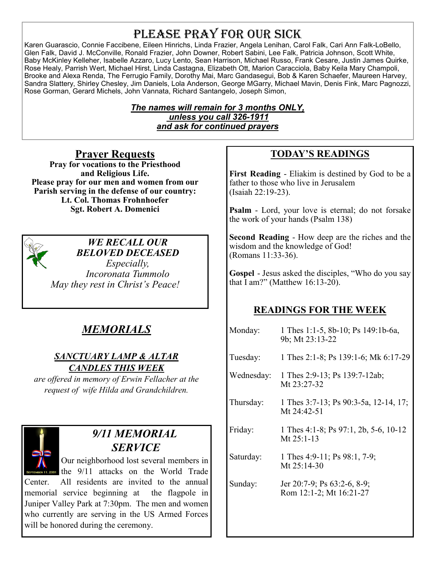## PLEASE PRAY FOR OUR SICK

Karen Guarascio, Connie Faccibene, Eileen Hinrichs, Linda Frazier, Angela Lenihan, Carol Falk, Cari Ann Falk-LoBello, Glen Falk, David J. McConville, Ronald Frazier, John Downer, Robert Sabini, Lee Falk, Patricia Johnson, Scott White, Baby McKinley Kelleher, Isabelle Azzaro, Lucy Lento, Sean Harrison, Michael Russo, Frank Cesare, Justin James Quirke, Rose Healy, Parrish Wert, Michael Hirst, Linda Castagna, Elizabeth Ott, Marion Caracciola, Baby Keila Mary Champoli, Brooke and Alexa Renda, The Ferrugio Family, Dorothy Mai, Marc Gandasegui, Bob & Karen Schaefer, Maureen Harvey, Sandra Slattery, Shirley Chesley, Jim Daniels, Lola Anderson, George MGarry, Michael Mavin, Denis Fink, Marc Pagnozzi, Rose Gorman, Gerard Michels, John Vannata, Richard Santangelo, Joseph Simon,

#### *The names will remain for 3 months ONLY, unless you call 326-1911 and ask for continued prayers*

**Prayer Requests Pray for vocations to the Priesthood and Religious Life. Please pray for our men and women from our Parish serving in the defense of our country: Lt. Col. Thomas Frohnhoefer Sgt. Robert A. Domenici** 



### *WE RECALL OUR BELOVED DECEASED*

*Especially, Incoronata Tummolo May they rest in Christ's Peace!* 

## *MEMORIALS*

## *SANCTUARY LAMP & ALTAR CANDLES THIS WEEK*

*are offered in memory of Erwin Fellacher at the request of wife Hilda and Grandchildren.* 

## *9/11 MEMORIAL SERVICE*

Our neighborhood lost several members in the 9/11 attacks on the World Trade Center. All residents are invited to the annual memorial service beginning at the flagpole in Juniper Valley Park at 7:30pm. The men and women who currently are serving in the US Armed Forces will be honored during the ceremony.

## **TODAY'S READINGS**

**First Reading** - Eliakim is destined by God to be a father to those who live in Jerusalem (Isaiah 22:19-23).

**Psalm** - Lord, your love is eternal; do not forsake the work of your hands (Psalm 138)

**Second Reading** - How deep are the riches and the wisdom and the knowledge of God! (Romans 11:33-36).

**Gospel** - Jesus asked the disciples, "Who do you say that I am?" (Matthew 16:13-20).

## **READINGS FOR THE WEEK**

| Monday:    | 1 Thes 1:1-5, 8b-10; Ps 149:1b-6a,<br>9b; Mt 23:13-22  |
|------------|--------------------------------------------------------|
| Tuesday:   | 1 Thes 2:1-8; Ps 139:1-6; Mk 6:17-29                   |
| Wednesday: | 1 Thes 2:9-13; Ps 139:7-12ab;<br>Mt 23:27-32           |
| Thursday:  | 1 Thes 3:7-13; Ps 90:3-5a, 12-14, 17;<br>Mt 24:42-51   |
| Friday:    | 1 Thes 4:1-8; Ps 97:1, 2b, 5-6, 10-12<br>Mt $25:1-13$  |
| Saturday:  | 1 Thes 4:9-11; Ps 98:1, 7-9;<br>Mt 25:14-30            |
| Sunday:    | Jer 20:7-9; Ps 63:2-6, 8-9;<br>Rom 12:1-2; Mt 16:21-27 |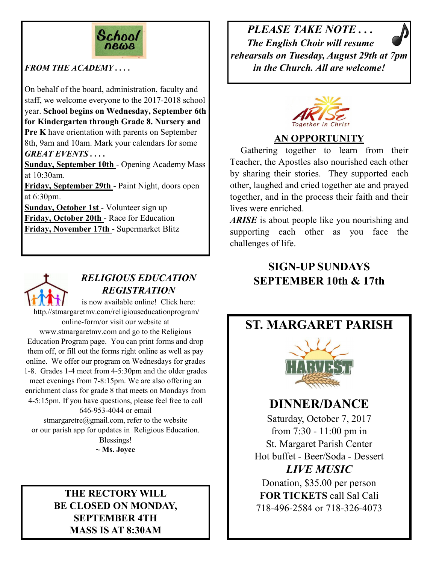

### *FROM THE ACADEMY . . . .*

On behalf of the board, administration, faculty and staff, we welcome everyone to the 2017-2018 school year. **School begins on Wednesday, September 6th for Kindergarten through Grade 8. Nursery and Pre K** have orientation with parents on September 8th, 9am and 10am. Mark your calendars for some *GREAT EVENTS . . . .*  **Sunday, September 10th** - Opening Academy Mass at 10:30am. **Friday, September 29th** - Paint Night, doors open at 6:30pm. **Sunday, October 1st** - Volunteer sign up **Friday, October 20th** - Race for Education **Friday, November 17th** - Supermarket Blitz



### *RELIGIOUS EDUCATION REGISTRATION*

is now available online! Click here: http.//stmargaretmv.com/religiouseducationprogram/ online-form/or visit our website at

www.stmargaretmv.com and go to the Religious Education Program page. You can print forms and drop them off, or fill out the forms right online as well as pay online. We offer our program on Wednesdays for grades 1-8. Grades 1-4 meet from 4-5:30pm and the older grades meet evenings from 7-8:15pm. We are also offering an enrichment class for grade 8 that meets on Mondays from 4-5:15pm. If you have questions, please feel free to call 646-953-4044 or email

stmargaretre@gmail.com, refer to the website or our parish app for updates in Religious Education. Blessings! **~ Ms. Joyce** 

### **THE RECTORY WILL BE CLOSED ON MONDAY, SEPTEMBER 4TH MASS IS AT 8:30AM**

*PLEASE TAKE NOTE . . . The English Choir will resume rehearsals on Tuesday, August 29th at 7pm in the Church. All are welcome!* 



#### **AN OPPORTUNITY**

 Gathering together to learn from their Teacher, the Apostles also nourished each other by sharing their stories. They supported each other, laughed and cried together ate and prayed together, and in the process their faith and their lives were enriched.

*ARISE* is about people like you nourishing and supporting each other as you face the challenges of life.

## **SIGN-UP SUNDAYS SEPTEMBER 10th & 17th**

## **ST. MARGARET PARISH**



## **DINNER/DANCE**

Saturday, October 7, 2017 from 7:30 - 11:00 pm in St. Margaret Parish Center Hot buffet - Beer/Soda - Dessert *LIVE MUSIC* 

Donation, \$35.00 per person **FOR TICKETS** call Sal Cali 718-496-2584 or 718-326-4073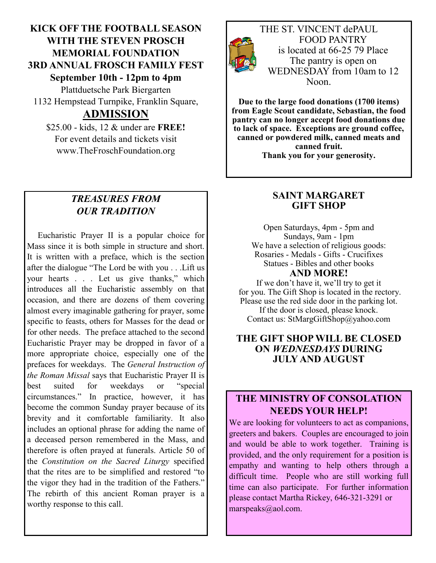## **KICK OFF THE FOOTBALL SEASON WITH THE STEVEN PROSCH MEMORIAL FOUNDATION 3RD ANNUAL FROSCH FAMILY FEST September 10th - 12pm to 4pm**  Plattduetsche Park Biergarten 1132 Hempstead Turnpike, Franklin Square,

### **ADMISSION**

\$25.00 - kids, 12 & under are **FREE!**  For event details and tickets visit www.TheFroschFoundation.org

### *TREASURES FROM OUR TRADITION*

 Eucharistic Prayer II is a popular choice for Mass since it is both simple in structure and short. It is written with a preface, which is the section after the dialogue "The Lord be with you . . .Lift us your hearts . . . Let us give thanks," which introduces all the Eucharistic assembly on that occasion, and there are dozens of them covering almost every imaginable gathering for prayer, some specific to feasts, others for Masses for the dead or for other needs. The preface attached to the second Eucharistic Prayer may be dropped in favor of a more appropriate choice, especially one of the prefaces for weekdays. The *General Instruction of the Roman Missal* says that Eucharistic Prayer II is best suited for weekdays or "special circumstances." In practice, however, it has become the common Sunday prayer because of its brevity and it comfortable familiarity. It also includes an optional phrase for adding the name of a deceased person remembered in the Mass, and therefore is often prayed at funerals. Article 50 of the *Constitution on the Sacred Liturgy* specified that the rites are to be simplified and restored "to the vigor they had in the tradition of the Fathers." The rebirth of this ancient Roman prayer is a worthy response to this call.



THE ST. VINCENT dePAUL FOOD PANTRY is located at 66-25 79 Place The pantry is open on WEDNESDAY from 10am to 12 Noon.

**Due to the large food donations (1700 items) from Eagle Scout candidate, Sebastian, the food pantry can no longer accept food donations due to lack of space. Exceptions are ground coffee, canned or powdered milk, canned meats and canned fruit. Thank you for your generosity.** 

### **SAINT MARGARET GIFT SHOP**

Open Saturdays, 4pm - 5pm and Sundays, 9am - 1pm We have a selection of religious goods: Rosaries - Medals - Gifts - Crucifixes Statues - Bibles and other books **AND MORE!** 

If we don't have it, we'll try to get it for you. The Gift Shop is located in the rectory. Please use the red side door in the parking lot.

If the door is closed, please knock. Contact us: StMargGiftShop@yahoo.com

### **THE GIFT SHOP WILL BE CLOSED ON** *WEDNESDAYS* **DURING JULY AND AUGUST**

### **THE MINISTRY OF CONSOLATION NEEDS YOUR HELP!**

We are looking for volunteers to act as companions, greeters and bakers. Couples are encouraged to join and would be able to work together. Training is provided, and the only requirement for a position is empathy and wanting to help others through a difficult time. People who are still working full time can also participate. For further information please contact Martha Rickey, 646-321-3291 or marspeaks@aol.com.